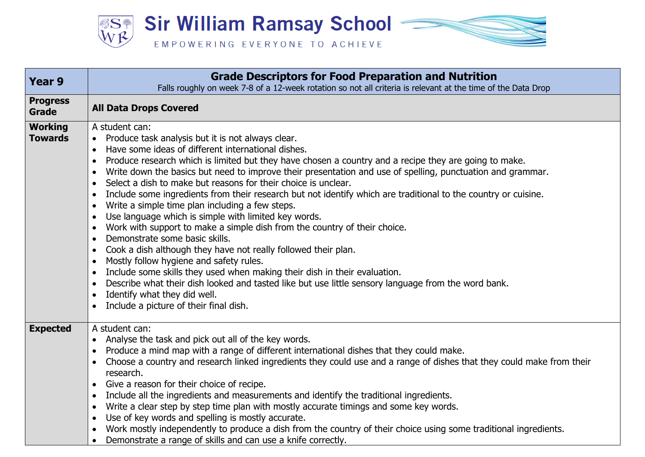

| Year 9                           | <b>Grade Descriptors for Food Preparation and Nutrition</b><br>Falls roughly on week 7-8 of a 12-week rotation so not all criteria is relevant at the time of the Data Drop                                                                                                                                                                                                                                                                                                                                                                                                                                                                                                                                                                                                                                                                                                                                                                                                                                                                                                                                                                                                                                                                                                                                                     |
|----------------------------------|---------------------------------------------------------------------------------------------------------------------------------------------------------------------------------------------------------------------------------------------------------------------------------------------------------------------------------------------------------------------------------------------------------------------------------------------------------------------------------------------------------------------------------------------------------------------------------------------------------------------------------------------------------------------------------------------------------------------------------------------------------------------------------------------------------------------------------------------------------------------------------------------------------------------------------------------------------------------------------------------------------------------------------------------------------------------------------------------------------------------------------------------------------------------------------------------------------------------------------------------------------------------------------------------------------------------------------|
| <b>Progress</b><br>Grade         | <b>All Data Drops Covered</b>                                                                                                                                                                                                                                                                                                                                                                                                                                                                                                                                                                                                                                                                                                                                                                                                                                                                                                                                                                                                                                                                                                                                                                                                                                                                                                   |
| <b>Working</b><br><b>Towards</b> | A student can:<br>Produce task analysis but it is not always clear.<br>Have some ideas of different international dishes.<br>$\bullet$<br>Produce research which is limited but they have chosen a country and a recipe they are going to make.<br>$\bullet$<br>Write down the basics but need to improve their presentation and use of spelling, punctuation and grammar.<br>$\bullet$<br>Select a dish to make but reasons for their choice is unclear.<br>$\bullet$<br>Include some ingredients from their research but not identify which are traditional to the country or cuisine.<br>$\bullet$<br>Write a simple time plan including a few steps.<br>$\bullet$<br>Use language which is simple with limited key words.<br>$\bullet$<br>Work with support to make a simple dish from the country of their choice.<br>$\bullet$<br>Demonstrate some basic skills.<br>$\bullet$<br>Cook a dish although they have not really followed their plan.<br>$\bullet$<br>Mostly follow hygiene and safety rules.<br>$\bullet$<br>Include some skills they used when making their dish in their evaluation.<br>$\bullet$<br>Describe what their dish looked and tasted like but use little sensory language from the word bank.<br>$\bullet$<br>Identify what they did well.<br>$\bullet$<br>Include a picture of their final dish. |
| <b>Expected</b>                  | A student can:<br>Analyse the task and pick out all of the key words.<br>$\bullet$<br>Produce a mind map with a range of different international dishes that they could make.<br>$\bullet$<br>Choose a country and research linked ingredients they could use and a range of dishes that they could make from their<br>٠<br>research.<br>Give a reason for their choice of recipe.<br>$\bullet$<br>Include all the ingredients and measurements and identify the traditional ingredients.<br>$\bullet$<br>Write a clear step by step time plan with mostly accurate timings and some key words.<br>$\bullet$<br>Use of key words and spelling is mostly accurate.<br>$\bullet$<br>Work mostly independently to produce a dish from the country of their choice using some traditional ingredients.<br>$\bullet$<br>Demonstrate a range of skills and can use a knife correctly.                                                                                                                                                                                                                                                                                                                                                                                                                                                 |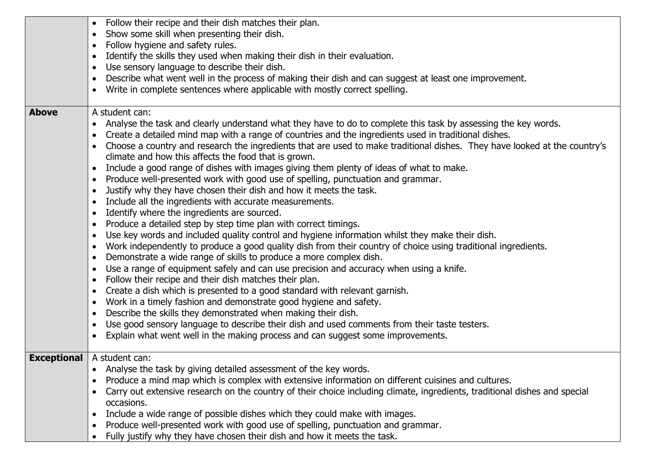|              | Follow their recipe and their dish matches their plan.<br>$\bullet$<br>Show some skill when presenting their dish.<br>$\bullet$<br>Follow hygiene and safety rules.<br>$\bullet$<br>Identify the skills they used when making their dish in their evaluation.<br>$\bullet$<br>Use sensory language to describe their dish.<br>$\bullet$<br>Describe what went well in the process of making their dish and can suggest at least one improvement.<br>$\bullet$                                                                                                                                                                                                                                                                                                                                                                                                                                                                                                                                                                                                                                                                                                                                                                                                                                                                                                                                                                                                                                                                                                                                                                                                                                                                                                                                                                                                                                                                                                      |
|--------------|--------------------------------------------------------------------------------------------------------------------------------------------------------------------------------------------------------------------------------------------------------------------------------------------------------------------------------------------------------------------------------------------------------------------------------------------------------------------------------------------------------------------------------------------------------------------------------------------------------------------------------------------------------------------------------------------------------------------------------------------------------------------------------------------------------------------------------------------------------------------------------------------------------------------------------------------------------------------------------------------------------------------------------------------------------------------------------------------------------------------------------------------------------------------------------------------------------------------------------------------------------------------------------------------------------------------------------------------------------------------------------------------------------------------------------------------------------------------------------------------------------------------------------------------------------------------------------------------------------------------------------------------------------------------------------------------------------------------------------------------------------------------------------------------------------------------------------------------------------------------------------------------------------------------------------------------------------------------|
|              | Write in complete sentences where applicable with mostly correct spelling.<br>$\bullet$                                                                                                                                                                                                                                                                                                                                                                                                                                                                                                                                                                                                                                                                                                                                                                                                                                                                                                                                                                                                                                                                                                                                                                                                                                                                                                                                                                                                                                                                                                                                                                                                                                                                                                                                                                                                                                                                            |
| <b>Above</b> | A student can:<br>Analyse the task and clearly understand what they have to do to complete this task by assessing the key words.<br>$\bullet$<br>Create a detailed mind map with a range of countries and the ingredients used in traditional dishes.<br>٠<br>Choose a country and research the ingredients that are used to make traditional dishes. They have looked at the country's<br>$\bullet$<br>climate and how this affects the food that is grown.<br>Include a good range of dishes with images giving them plenty of ideas of what to make.<br>$\bullet$<br>Produce well-presented work with good use of spelling, punctuation and grammar.<br>$\bullet$<br>Justify why they have chosen their dish and how it meets the task.<br>$\bullet$<br>Include all the ingredients with accurate measurements.<br>$\bullet$<br>Identify where the ingredients are sourced.<br>$\bullet$<br>Produce a detailed step by step time plan with correct timings.<br>$\bullet$<br>Use key words and included quality control and hygiene information whilst they make their dish.<br>$\bullet$<br>Work independently to produce a good quality dish from their country of choice using traditional ingredients.<br>$\bullet$<br>Demonstrate a wide range of skills to produce a more complex dish.<br>$\bullet$<br>Use a range of equipment safely and can use precision and accuracy when using a knife.<br>$\bullet$<br>Follow their recipe and their dish matches their plan.<br>$\bullet$<br>Create a dish which is presented to a good standard with relevant garnish.<br>$\bullet$<br>Work in a timely fashion and demonstrate good hygiene and safety.<br>$\bullet$<br>Describe the skills they demonstrated when making their dish.<br>$\bullet$<br>Use good sensory language to describe their dish and used comments from their taste testers.<br>$\bullet$<br>Explain what went well in the making process and can suggest some improvements.<br>$\bullet$ |
|              | <b>Exceptional</b>   A student can:<br>Analyse the task by giving detailed assessment of the key words.<br>$\bullet$<br>Produce a mind map which is complex with extensive information on different cuisines and cultures.<br>$\bullet$<br>Carry out extensive research on the country of their choice including climate, ingredients, traditional dishes and special<br>$\bullet$<br>occasions.<br>Include a wide range of possible dishes which they could make with images.<br>$\bullet$<br>Produce well-presented work with good use of spelling, punctuation and grammar.<br>$\bullet$                                                                                                                                                                                                                                                                                                                                                                                                                                                                                                                                                                                                                                                                                                                                                                                                                                                                                                                                                                                                                                                                                                                                                                                                                                                                                                                                                                        |
|              | Fully justify why they have chosen their dish and how it meets the task.<br>$\bullet$                                                                                                                                                                                                                                                                                                                                                                                                                                                                                                                                                                                                                                                                                                                                                                                                                                                                                                                                                                                                                                                                                                                                                                                                                                                                                                                                                                                                                                                                                                                                                                                                                                                                                                                                                                                                                                                                              |